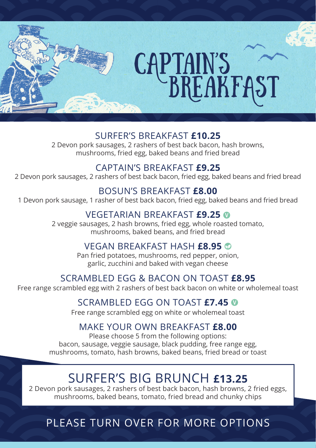

### SURFER'S BREAKFAST **£10.25**

2 Devon pork sausages, 2 rashers of best back bacon, hash browns, mushrooms, fried egg, baked beans and fried bread

### CAPTAIN'S BREAKFAST **£9.25**

2 Devon pork sausages, 2 rashers of best back bacon, fried egg, baked beans and fried bread

### BOSUN'S BREAKFAST **£8.00**

1 Devon pork sausage, 1 rasher of best back bacon, fried egg, baked beans and fried bread

### VEGETARIAN BREAKFAST **£9.25**

2 veggie sausages, 2 hash browns, fried egg, whole roasted tomato, mushrooms, baked beans, and fried bread

### VEGAN BREAKFAST HASH **£8.95**

Pan fried potatoes, mushrooms, red pepper, onion, garlic, zucchini and baked with vegan cheese

### SCRAMBLED EGG & BACON ON TOAST **£8.95**

Free range scrambled egg with 2 rashers of best back bacon on white or wholemeal toast

### SCRAMBLED EGG ON TOAST **£7.45**

Free range scrambled egg on white or wholemeal toast

### MAKE YOUR OWN BREAKFAST **£8.00**

Please choose 5 from the following options: bacon, sausage, veggie sausage, black pudding, free range egg, mushrooms, tomato, hash browns, baked beans, fried bread or toast

## SURFER'S BIG BRUNCH **£13.25**

2 Devon pork sausages, 2 rashers of best back bacon, hash browns, 2 fried eggs, mushrooms, baked beans, tomato, fried bread and chunky chips

## PLEASE TURN OVER FOR MORE OPTIONS